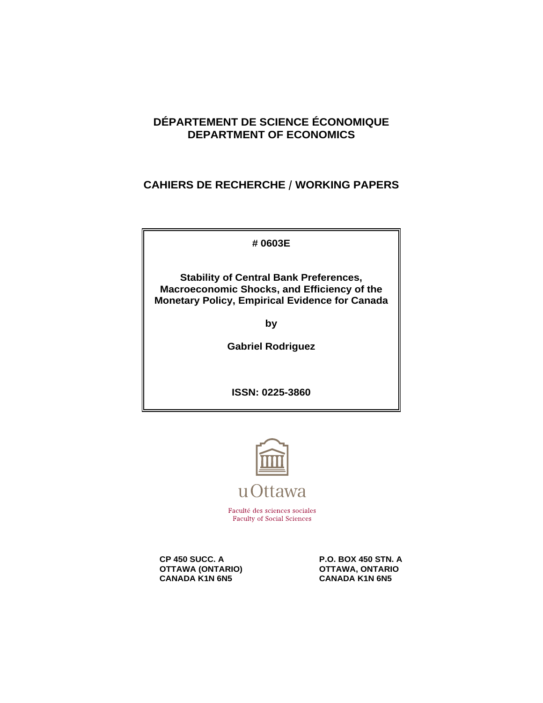# **DÉPARTEMENT DE SCIENCE ÉCONOMIQUE DEPARTMENT OF ECONOMICS**

# **CAHIERS DE RECHERCHE / WORKING PAPERS**

**# 0603E**

**Stability of Central Bank Preferences, Macroeconomic Shocks, and Efficiency of the Monetary Policy, Empirical Evidence for Canada**

**by**

**Gabriel Rodriguez**

**ISSN: 0225-3860**



Faculté des sciences sociales **Faculty of Social Sciences** 

**OTTAWA (ONTARIO) OTTAWA, ONTARIO**<br>CANADA K1N 6N5 CANADA K1N 6N5 **CANADA K1N 6N5** 

**CP 450 SUCC. A** P.O. BOX 450 STN. A<br>1997 - P.O. BOX 450 STN. A OTTAWA, ONTARIO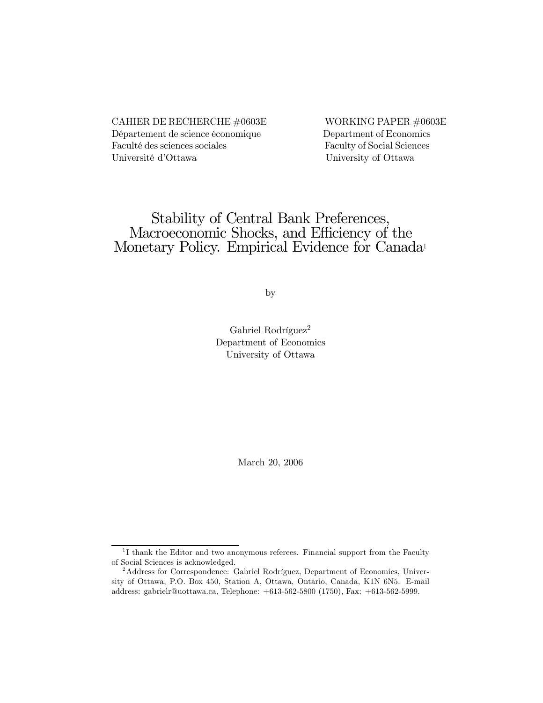### CAHIER DE RECHERCHE #0603E WORKING PAPER #0603E Département de science économique Department of Economics Faculté des sciences sociales Faculty of Social Sciences Université d'Ottawa University of Ottawa

# Stability of Central Bank Preferences, Macroeconomic Shocks, and Efficiency of the Monetary Policy. Empirical Evidence for Canada<sup>1</sup>

by

Gabriel Rodríguez<sup>2</sup> Department of Economics University of Ottawa

March 20, 2006

<sup>&</sup>lt;sup>1</sup>I thank the Editor and two anonymous referees. Financial support from the Faculty of Social Sciences is acknowledged.

<sup>2</sup>Address for Correspondence: Gabriel Rodríguez, Department of Economics, University of Ottawa, P.O. Box 450, Station A, Ottawa, Ontario, Canada, K1N 6N5. E-mail address: gabrielr@uottawa.ca, Telephone: +613-562-5800 (1750), Fax: +613-562-5999.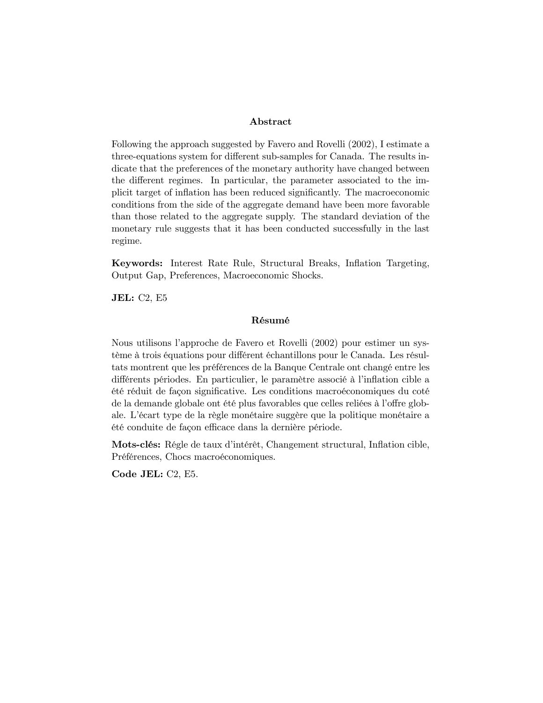#### Abstract

Following the approach suggested by Favero and Rovelli (2002), I estimate a three-equations system for different sub-samples for Canada. The results indicate that the preferences of the monetary authority have changed between the different regimes. In particular, the parameter associated to the implicit target of inflation has been reduced significantly. The macroeconomic conditions from the side of the aggregate demand have been more favorable than those related to the aggregate supply. The standard deviation of the monetary rule suggests that it has been conducted successfully in the last regime.

Keywords: Interest Rate Rule, Structural Breaks, Inflation Targeting, Output Gap, Preferences, Macroeconomic Shocks.

JEL: C2, E5

#### Résumé

Nous utilisons l'approche de Favero et Rovelli (2002) pour estimer un système à trois équations pour différent échantillons pour le Canada. Les résultats montrent que les préférences de la Banque Centrale ont changé entre les différents périodes. En particulier, le paramètre associé à l'inflation cible a été réduit de façon significative. Les conditions macroéconomiques du coté de la demande globale ont été plus favorables que celles reliées à l'offre globale. L'écart type de la règle monétaire suggère que la politique monétaire a été conduite de façon efficace dans la dernière période.

Mots-clés: Régle de taux d'intérêt, Changement structural, Inflation cible, Préférences, Chocs macroéconomiques.

Code JEL: C2, E5.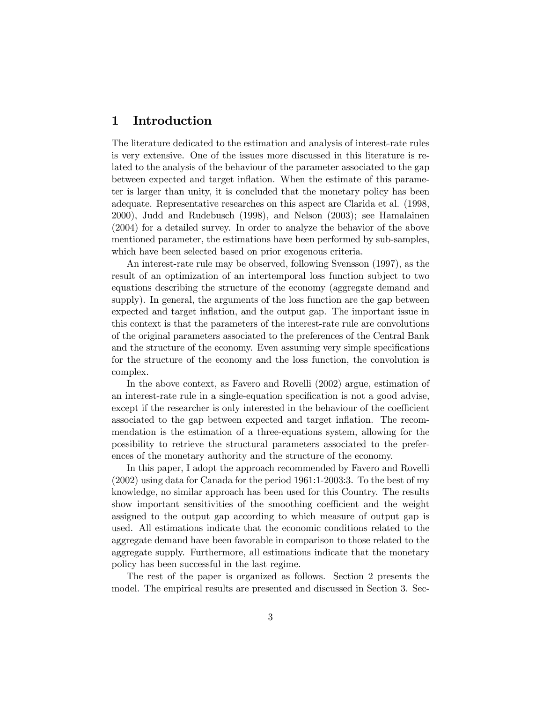# 1 Introduction

The literature dedicated to the estimation and analysis of interest-rate rules is very extensive. One of the issues more discussed in this literature is related to the analysis of the behaviour of the parameter associated to the gap between expected and target inflation. When the estimate of this parameter is larger than unity, it is concluded that the monetary policy has been adequate. Representative researches on this aspect are Clarida et al. (1998, 2000), Judd and Rudebusch (1998), and Nelson (2003); see Hamalainen (2004) for a detailed survey. In order to analyze the behavior of the above mentioned parameter, the estimations have been performed by sub-samples, which have been selected based on prior exogenous criteria.

An interest-rate rule may be observed, following Svensson (1997), as the result of an optimization of an intertemporal loss function subject to two equations describing the structure of the economy (aggregate demand and supply). In general, the arguments of the loss function are the gap between expected and target inflation, and the output gap. The important issue in this context is that the parameters of the interest-rate rule are convolutions of the original parameters associated to the preferences of the Central Bank and the structure of the economy. Even assuming very simple specifications for the structure of the economy and the loss function, the convolution is complex.

In the above context, as Favero and Rovelli (2002) argue, estimation of an interest-rate rule in a single-equation specification is not a good advise, except if the researcher is only interested in the behaviour of the coefficient associated to the gap between expected and target inflation. The recommendation is the estimation of a three-equations system, allowing for the possibility to retrieve the structural parameters associated to the preferences of the monetary authority and the structure of the economy.

In this paper, I adopt the approach recommended by Favero and Rovelli (2002) using data for Canada for the period 1961:1-2003:3. To the best of my knowledge, no similar approach has been used for this Country. The results show important sensitivities of the smoothing coefficient and the weight assigned to the output gap according to which measure of output gap is used. All estimations indicate that the economic conditions related to the aggregate demand have been favorable in comparison to those related to the aggregate supply. Furthermore, all estimations indicate that the monetary policy has been successful in the last regime.

The rest of the paper is organized as follows. Section 2 presents the model. The empirical results are presented and discussed in Section 3. Sec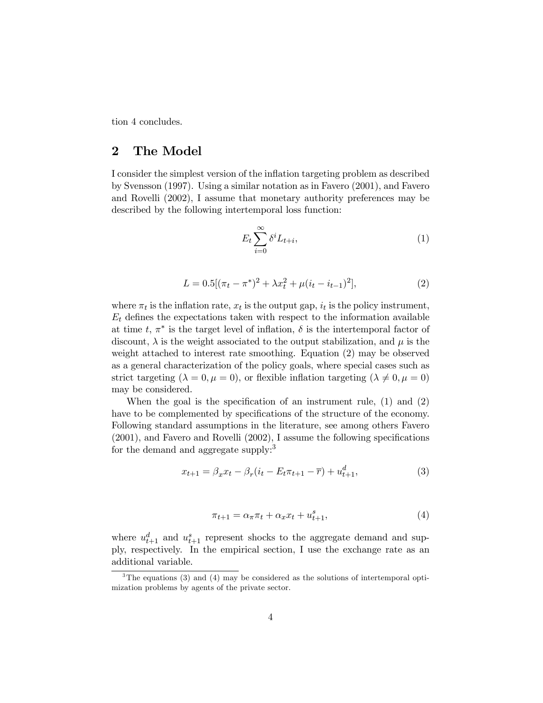tion 4 concludes.

## 2 The Model

I consider the simplest version of the inflation targeting problem as described by Svensson (1997). Using a similar notation as in Favero (2001), and Favero and Rovelli (2002), I assume that monetary authority preferences may be described by the following intertemporal loss function:

$$
E_t \sum_{i=0}^{\infty} \delta^i L_{t+i},\tag{1}
$$

$$
L = 0.5[(\pi_t - \pi^*)^2 + \lambda x_t^2 + \mu(i_t - i_{t-1})^2],
$$
\n(2)

where  $\pi_t$  is the inflation rate,  $x_t$  is the output gap,  $i_t$  is the policy instrument,  $E_t$  defines the expectations taken with respect to the information available at time t,  $\pi^*$  is the target level of inflation,  $\delta$  is the intertemporal factor of discount,  $\lambda$  is the weight associated to the output stabilization, and  $\mu$  is the weight attached to interest rate smoothing. Equation (2) may be observed as a general characterization of the policy goals, where special cases such as strict targeting  $(\lambda = 0, \mu = 0)$ , or flexible inflation targeting  $(\lambda \neq 0, \mu = 0)$ may be considered.

When the goal is the specification of an instrument rule, (1) and (2) have to be complemented by specifications of the structure of the economy. Following standard assumptions in the literature, see among others Favero (2001), and Favero and Rovelli (2002), I assume the following specifications for the demand and aggregate supply:<sup>3</sup>

$$
x_{t+1} = \beta_x x_t - \beta_r (i_t - E_t \pi_{t+1} - \overline{r}) + u_{t+1}^d,
$$
\n(3)

$$
\pi_{t+1} = \alpha_{\pi}\pi_t + \alpha_x x_t + u_{t+1}^s,\tag{4}
$$

where  $u_{t+1}^d$  and  $u_{t+1}^s$  represent shocks to the aggregate demand and supply, respectively. In the empirical section, I use the exchange rate as an additional variable.

 $3$ The equations (3) and (4) may be considered as the solutions of intertemporal optimization problems by agents of the private sector.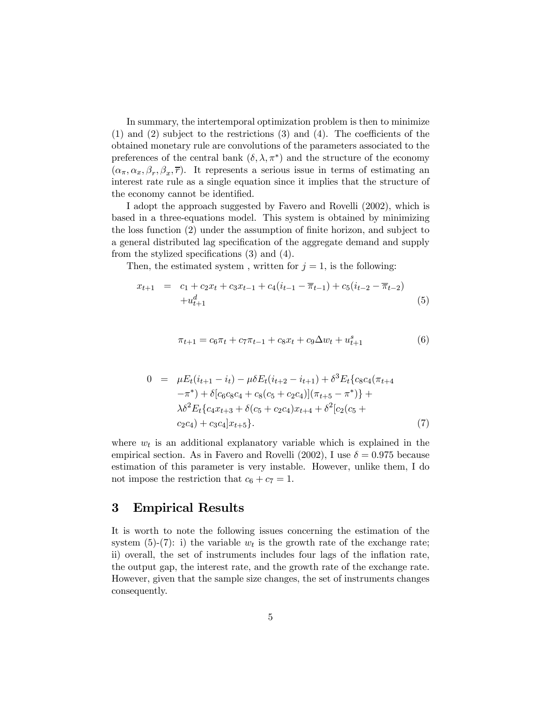In summary, the intertemporal optimization problem is then to minimize (1) and (2) subject to the restrictions (3) and (4). The coefficients of the obtained monetary rule are convolutions of the parameters associated to the preferences of the central bank  $(\delta, \lambda, \pi^*)$  and the structure of the economy  $(\alpha_{\pi}, \alpha_x, \beta_r, \beta_x, \overline{r})$ . It represents a serious issue in terms of estimating an interest rate rule as a single equation since it implies that the structure of the economy cannot be identified.

I adopt the approach suggested by Favero and Rovelli (2002), which is based in a three-equations model. This system is obtained by minimizing the loss function (2) under the assumption of finite horizon, and subject to a general distributed lag specification of the aggregate demand and supply from the stylized specifications (3) and (4).

Then, the estimated system, written for  $j = 1$ , is the following:

$$
x_{t+1} = c_1 + c_2 x_t + c_3 x_{t-1} + c_4 (i_{t-1} - \overline{\pi}_{t-1}) + c_5 (i_{t-2} - \overline{\pi}_{t-2})
$$
  
+ 
$$
u_{t+1}^d
$$
 (5)

$$
\pi_{t+1} = c_6 \pi_t + c_7 \pi_{t-1} + c_8 x_t + c_9 \Delta w_t + u_{t+1}^s \tag{6}
$$

$$
0 = \mu E_t (i_{t+1} - i_t) - \mu \delta E_t (i_{t+2} - i_{t+1}) + \delta^3 E_t \{c_8 c_4 (\pi_{t+4} - \pi^*) + \delta[c_6 c_8 c_4 + c_8 (c_5 + c_2 c_4)] (\pi_{t+5} - \pi^*) \} + \lambda \delta^2 E_t \{c_4 x_{t+3} + \delta(c_5 + c_2 c_4) x_{t+4} + \delta^2[c_2 (c_5 + c_2 c_4) + c_3 c_4] x_{t+5} \}.
$$
\n
$$
(7)
$$

where  $w_t$  is an additional explanatory variable which is explained in the empirical section. As in Favero and Rovelli (2002), I use  $\delta = 0.975$  because estimation of this parameter is very instable. However, unlike them, I do not impose the restriction that  $c_6 + c_7 = 1$ .

#### 3 Empirical Results

It is worth to note the following issues concerning the estimation of the system (5)-(7): i) the variable  $w_t$  is the growth rate of the exchange rate; ii) overall, the set of instruments includes four lags of the inflation rate, the output gap, the interest rate, and the growth rate of the exchange rate. However, given that the sample size changes, the set of instruments changes consequently.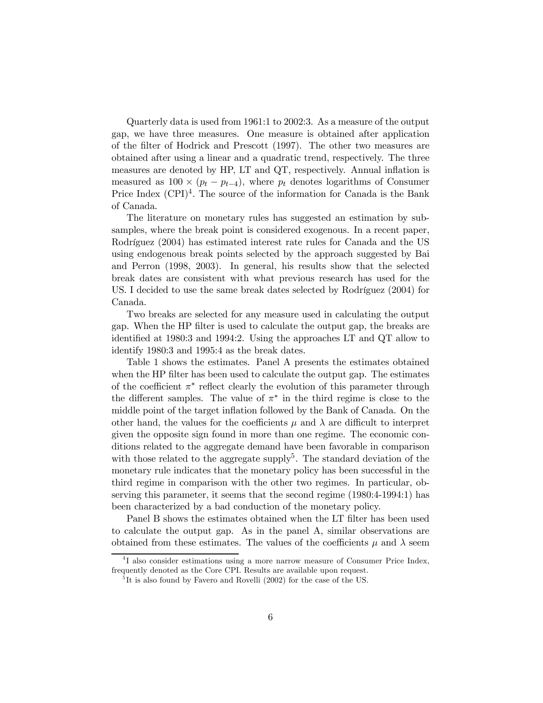Quarterly data is used from 1961:1 to 2002:3. As a measure of the output gap, we have three measures. One measure is obtained after application of the filter of Hodrick and Prescott (1997). The other two measures are obtained after using a linear and a quadratic trend, respectively. The three measures are denoted by HP, LT and QT, respectively. Annual inflation is measured as  $100 \times (p_t - p_{t-4})$ , where  $p_t$  denotes logarithms of Consumer Price Index  $(CPI)^4$ . The source of the information for Canada is the Bank of Canada.

The literature on monetary rules has suggested an estimation by subsamples, where the break point is considered exogenous. In a recent paper, Rodríguez (2004) has estimated interest rate rules for Canada and the US using endogenous break points selected by the approach suggested by Bai and Perron (1998, 2003). In general, his results show that the selected break dates are consistent with what previous research has used for the US. I decided to use the same break dates selected by Rodríguez (2004) for Canada.

Two breaks are selected for any measure used in calculating the output gap. When the HP filter is used to calculate the output gap, the breaks are identified at 1980:3 and 1994:2. Using the approaches LT and QT allow to identify 1980:3 and 1995:4 as the break dates.

Table 1 shows the estimates. Panel A presents the estimates obtained when the HP filter has been used to calculate the output gap. The estimates of the coefficient  $\pi^*$  reflect clearly the evolution of this parameter through the different samples. The value of  $\pi^*$  in the third regime is close to the middle point of the target inflation followed by the Bank of Canada. On the other hand, the values for the coefficients  $\mu$  and  $\lambda$  are difficult to interpret given the opposite sign found in more than one regime. The economic conditions related to the aggregate demand have been favorable in comparison with those related to the aggregate supply<sup>5</sup>. The standard deviation of the monetary rule indicates that the monetary policy has been successful in the third regime in comparison with the other two regimes. In particular, observing this parameter, it seems that the second regime (1980:4-1994:1) has been characterized by a bad conduction of the monetary policy.

Panel B shows the estimates obtained when the LT filter has been used to calculate the output gap. As in the panel A, similar observations are obtained from these estimates. The values of the coefficients  $\mu$  and  $\lambda$  seem

<sup>&</sup>lt;sup>4</sup>I also consider estimations using a more narrow measure of Consumer Price Index, frequently denoted as the Core CPI. Results are available upon request.

 ${}^{5}$ It is also found by Favero and Rovelli (2002) for the case of the US.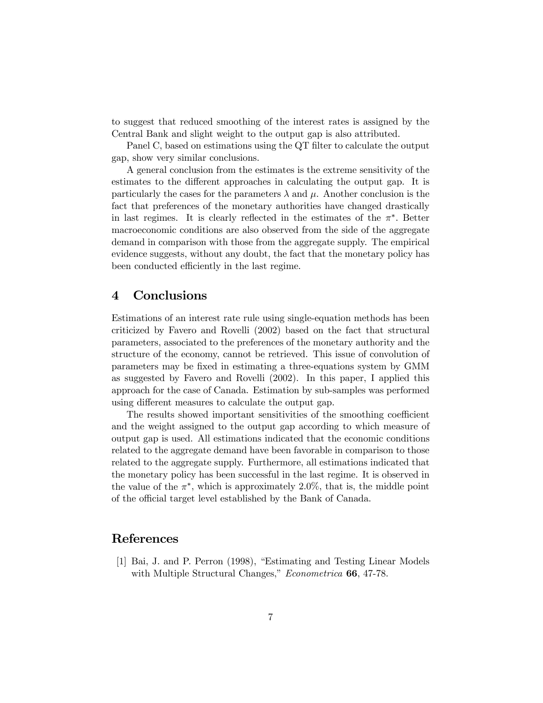to suggest that reduced smoothing of the interest rates is assigned by the Central Bank and slight weight to the output gap is also attributed.

Panel C, based on estimations using the QT filter to calculate the output gap, show very similar conclusions.

A general conclusion from the estimates is the extreme sensitivity of the estimates to the different approaches in calculating the output gap. It is particularly the cases for the parameters  $\lambda$  and  $\mu$ . Another conclusion is the fact that preferences of the monetary authorities have changed drastically in last regimes. It is clearly reflected in the estimates of the  $\pi^*$ . Better macroeconomic conditions are also observed from the side of the aggregate demand in comparison with those from the aggregate supply. The empirical evidence suggests, without any doubt, the fact that the monetary policy has been conducted efficiently in the last regime.

### 4 Conclusions

Estimations of an interest rate rule using single-equation methods has been criticized by Favero and Rovelli (2002) based on the fact that structural parameters, associated to the preferences of the monetary authority and the structure of the economy, cannot be retrieved. This issue of convolution of parameters may be fixed in estimating a three-equations system by GMM as suggested by Favero and Rovelli (2002). In this paper, I applied this approach for the case of Canada. Estimation by sub-samples was performed using different measures to calculate the output gap.

The results showed important sensitivities of the smoothing coefficient and the weight assigned to the output gap according to which measure of output gap is used. All estimations indicated that the economic conditions related to the aggregate demand have been favorable in comparison to those related to the aggregate supply. Furthermore, all estimations indicated that the monetary policy has been successful in the last regime. It is observed in the value of the  $\pi^*$ , which is approximately 2.0%, that is, the middle point of the official target level established by the Bank of Canada.

### References

[1] Bai, J. and P. Perron (1998), "Estimating and Testing Linear Models with Multiple Structural Changes," *Econometrica* 66, 47-78.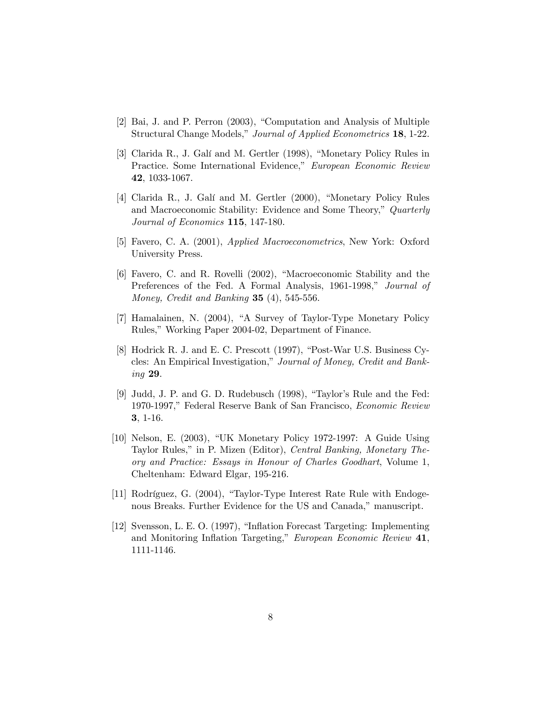- [2] Bai, J. and P. Perron (2003), "Computation and Analysis of Multiple Structural Change Models," Journal of Applied Econometrics 18, 1-22.
- [3] Clarida R., J. Galí and M. Gertler (1998), "Monetary Policy Rules in Practice. Some International Evidence," European Economic Review 42, 1033-1067.
- [4] Clarida R., J. Galí and M. Gertler (2000), "Monetary Policy Rules and Macroeconomic Stability: Evidence and Some Theory," Quarterly Journal of Economics 115, 147-180.
- [5] Favero, C. A. (2001), Applied Macroeconometrics, New York: Oxford University Press.
- [6] Favero, C. and R. Rovelli (2002), "Macroeconomic Stability and the Preferences of the Fed. A Formal Analysis, 1961-1998," Journal of Money, Credit and Banking  $35$  (4), 545-556.
- [7] Hamalainen, N. (2004), "A Survey of Taylor-Type Monetary Policy Rules," Working Paper 2004-02, Department of Finance.
- [8] Hodrick R. J. and E. C. Prescott (1997), "Post-War U.S. Business Cycles: An Empirical Investigation," Journal of Money, Credit and Banking 29.
- [9] Judd, J. P. and G. D. Rudebusch (1998), "Taylor's Rule and the Fed: 1970-1997," Federal Reserve Bank of San Francisco, Economic Review 3, 1-16.
- [10] Nelson, E. (2003), "UK Monetary Policy 1972-1997: A Guide Using Taylor Rules," in P. Mizen (Editor), Central Banking, Monetary Theory and Practice: Essays in Honour of Charles Goodhart, Volume 1, Cheltenham: Edward Elgar, 195-216.
- [11] Rodríguez, G. (2004), "Taylor-Type Interest Rate Rule with Endogenous Breaks. Further Evidence for the US and Canada," manuscript.
- [12] Svensson, L. E. O. (1997), "Inflation Forecast Targeting: Implementing and Monitoring Inflation Targeting," European Economic Review 41, 1111-1146.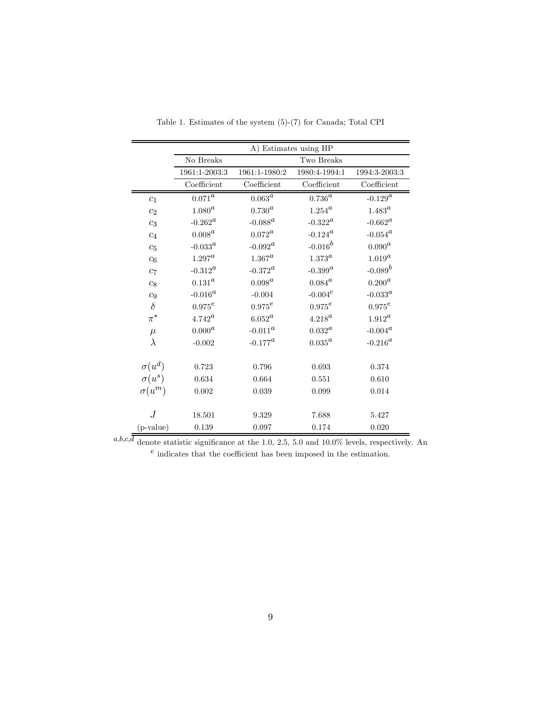|                | A) Estimates using HP   |                        |                        |                  |  |
|----------------|-------------------------|------------------------|------------------------|------------------|--|
|                | No Breaks<br>Two Breaks |                        |                        |                  |  |
|                | 1961:1-2003:3           | 1961:1-1980:2          | 1980:4-1994:1          | 1994:3-2003:3    |  |
|                | Coefficient             | Coefficient            | Coefficient            | Coefficient      |  |
| c <sub>1</sub> | $0.071^{\rm \alpha}$    | $0.063^{\overline{a}}$ | $0.736^{\overline{a}}$ | $-0.129^{a}$     |  |
| $c_2$          | $1.080^a$               | $0.730^a$              | $1.254^{a}$            | $1.483^{a}$      |  |
| $c_3$          | $-0.262^a$              | $-0.088^{\rm a}$       | $-0.322^a$             | $-0.662^a$       |  |
| $c_4$          | $0.008^a$               | $0.072^{\rm \alpha}$   | $-0.124^a$             | $-0.054^{\rm a}$ |  |
| $c_5$          | -0.033 $^a$             | -0.092 $^a$            | $-0.016^b$             | $0.090^a$        |  |
| $c_6$          | $1.297^a$               | $1.367^a$              | $1.373^a$              | $1.019^a$        |  |
| c <sub>7</sub> | $-0.312^a$              | $-0.372^{\rm a}$       | $-0.399^{a}$           | $-0.089^b$       |  |
| $c_{\rm 8}$    | $0.131^{\rm \small a}$  | $0.098^a$              | $0.084^a$              | $0.200^{\rm a}$  |  |
| $c_9$          | $-0.016^a$              | $-0.004$               | $-0.004^{c}$           | $-0.033^{a}$     |  |
| $\delta$       | $0.975^e$               | $0.975^e$              | $0.975^e$              | $0.975^e$        |  |
| $\pi^*$        | $4.742^{\rm a}$         | $6.052^a$              | $4.218^a$              | $1.912^a$        |  |
| $\mu$          | $0.000^a$               | $-0.011^a$             | $0.032^a$              | $-0.004^a$       |  |
| $\lambda$      | $-0.002$                | $-0.177^a$             | $0.035^{\rm a}$        | $-0.216^a$       |  |
| $\sigma(u^d)$  | 0.723                   | 0.796                  | 0.693                  | 0.374            |  |
| $\sigma(u^s)$  | 0.634                   | 0.664                  | 0.551                  | 0.610            |  |
| $\sigma(u^m)$  | 0.002                   | 0.039                  | 0.099                  | 0.014            |  |
| J              | 18.501                  | 9.329                  | 7.688                  | 5.427            |  |
| $(p-value)$    | 0.139                   | 0.097                  | 0.174                  | 0.020            |  |

Table 1. Estimates of the system (5)-(7) for Canada; Total CPI

 $a, b, c, \overline{\overline{d}$  denote statistic significance at the 1.0, 2.5, 5.0 and 10.0% levels, respectively. An  $\sp{e}$  indicates that the coefficient has been imposed in the estimation.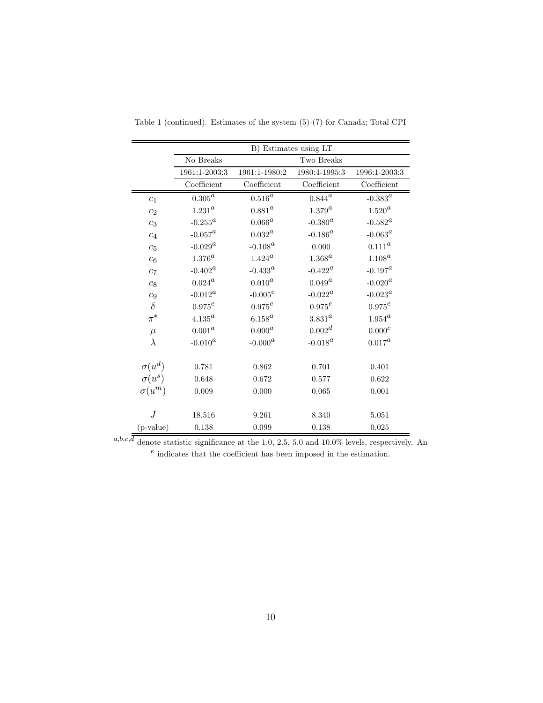|                  | B) Estimates using LT   |                        |                  |                                |  |
|------------------|-------------------------|------------------------|------------------|--------------------------------|--|
|                  | No Breaks<br>Two Breaks |                        |                  |                                |  |
|                  | 1961:1-2003:3           | 1961:1-1980:2          | 1980:4-1995:3    | 1996:1-2003:3                  |  |
|                  | Coefficient             | Coefficient            | Coefficient      | Coefficient                    |  |
| c <sub>1</sub>   | $0.305^{\overline{a}}$  | $0.516^{\overline{a}}$ | $0.844^{\rm a}$  | $-0.383^{\overline{a}}$        |  |
| c <sub>2</sub>   | $1.231^{\rm a}$         | $0.881^{a}$            | $1.379^{a}$      | $1.520^a$                      |  |
| $c_3$            | $-0.255^a$              | $0.066^{\rm a}$        | $-0.380^{a}$     | $\text{-}0.582^a$              |  |
| $c_4$            | $-0.057^a$              | $0.032^{\rm a}$        | $-0.186^a$       | $-0.063^{\rm a}$               |  |
| $c_5$            | $-0.029^a$              | $-0.108^a$             | 0.000            | $0.111^{\mbox{\scriptsize a}}$ |  |
| c <sub>6</sub>   | $1.376^a$               | $1.424^a$              | $1.368^a$        | $1.108^a$                      |  |
| $c_7$            | $-0.402^a$              | $-0.433^{a}$           | $-0.422^{\rm a}$ | $\text{-}0.197^a$              |  |
| $c_{\rm 8}$      | $0.024^{\rm a}$         | $0.010^a$              | $0.049^a$        | $\textnormal{-}0.020^a$        |  |
| $\mathfrak{c}_9$ | $-0.012^a$              | $-0.005^c$             | $-0.022^a$       | $-0.023^a$                     |  |
| $\delta$         | $0.975^e$               | $0.975^e$              | $0.975^e$        | $0.975^e\,$                    |  |
| $\pi^*$          | $4.135^{\rm a}$         | $6.158^{\rm a}$        | $3.831^a$        | $1.954^{a}$                    |  |
| $\mu$            | $0.001^a$               | $0.000^a$              | $0.002^d$        | $0.000^c$                      |  |
| $\lambda$        | $-0.010^a$              | $-0.000^a$             | $-0.018^a$       | $0.017^a$                      |  |
| $\sigma(u^d)$    | 0.781                   | 0.862                  | 0.701            | 0.401                          |  |
| $\sigma(u^s)$    | 0.648                   | 0.672                  | 0.577            | 0.622                          |  |
| $\sigma(u^m)$    | 0.009                   | 0.000                  | 0.065            | 0.001                          |  |
|                  |                         |                        |                  |                                |  |
| .J               | 18.516                  | 9.261                  | 8.340            | 5.051                          |  |
| $(p-value)$      | 0.138                   | 0.099                  | 0.138            | 0.025                          |  |

Table 1 (continued). Estimates of the system (5)-(7) for Canada; Total CPI

 $a,b,c,\overline{d}$  denote statistic significance at the 1.0, 2.5, 5.0 and 10.0% levels, respectively. An  $e$  indicates that the coefficient has been imposed in the estimation.